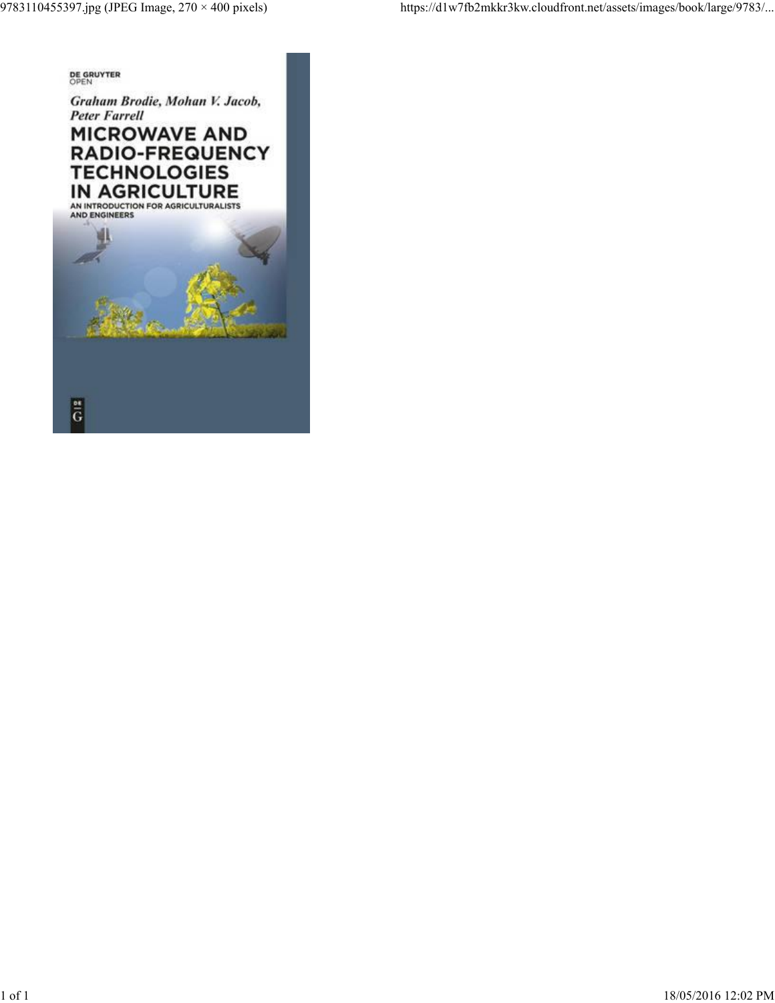## DE GRUYTER

 $\frac{a}{G}$ 

Graham Brodie, Mohan V. Jacob, **Peter Farrell** 

## **MICROWAVE AND RADIO-FREQUENCY TECHNOLOGIES IN AGRICULTURE** AN INTRODUCTION FOR AGRICULTURALISTS

**AND ENGINEERS**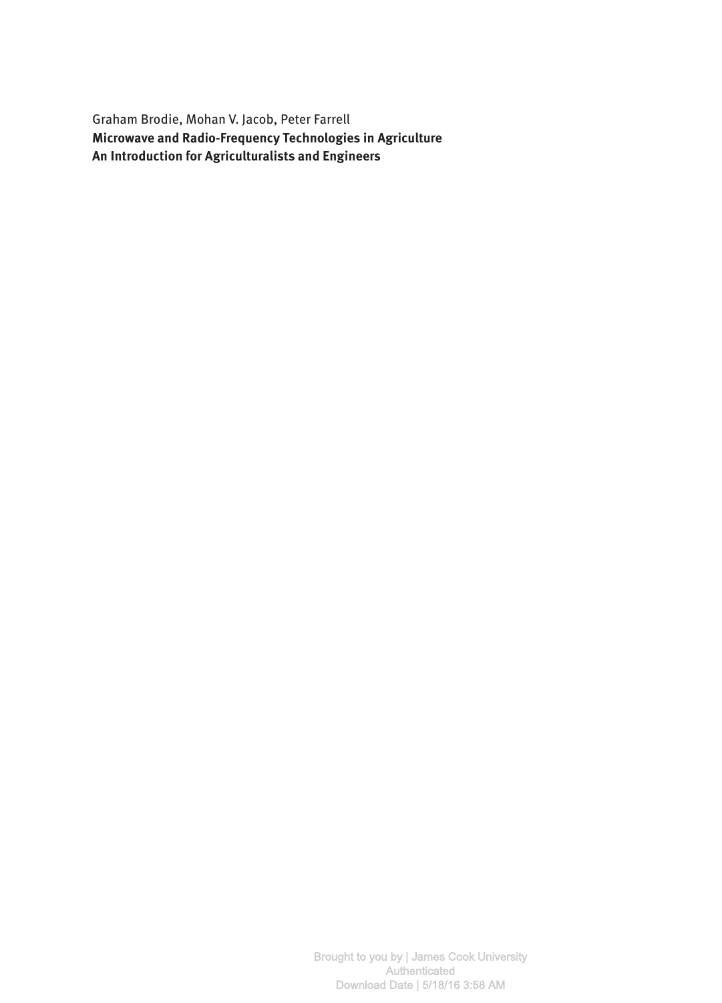Graham Brodie, Mohan V. Jacob, Peter Farrell **Microwave and Radio-Frequency Technologies in Agriculture An Introduction for Agriculturalists and Engineers**

> Brought to you by | James Cook University **Authenticated** Download Date | 5/18/16 3:58 AM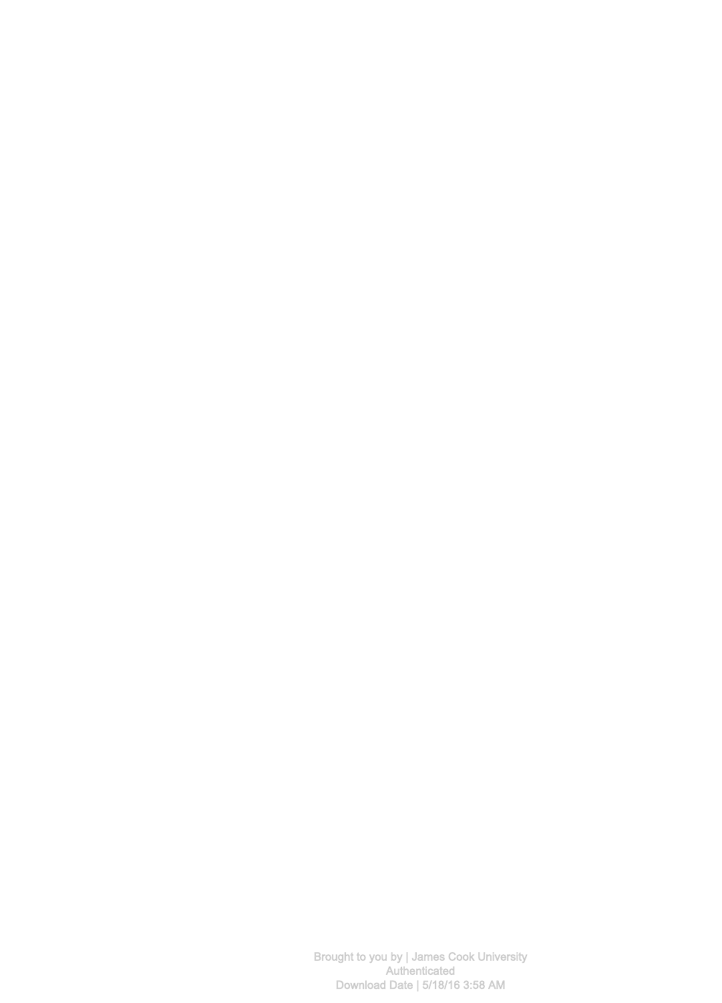Brought to you by | James Cook University Authenticated Download Date | 5/18/16 3:58 AM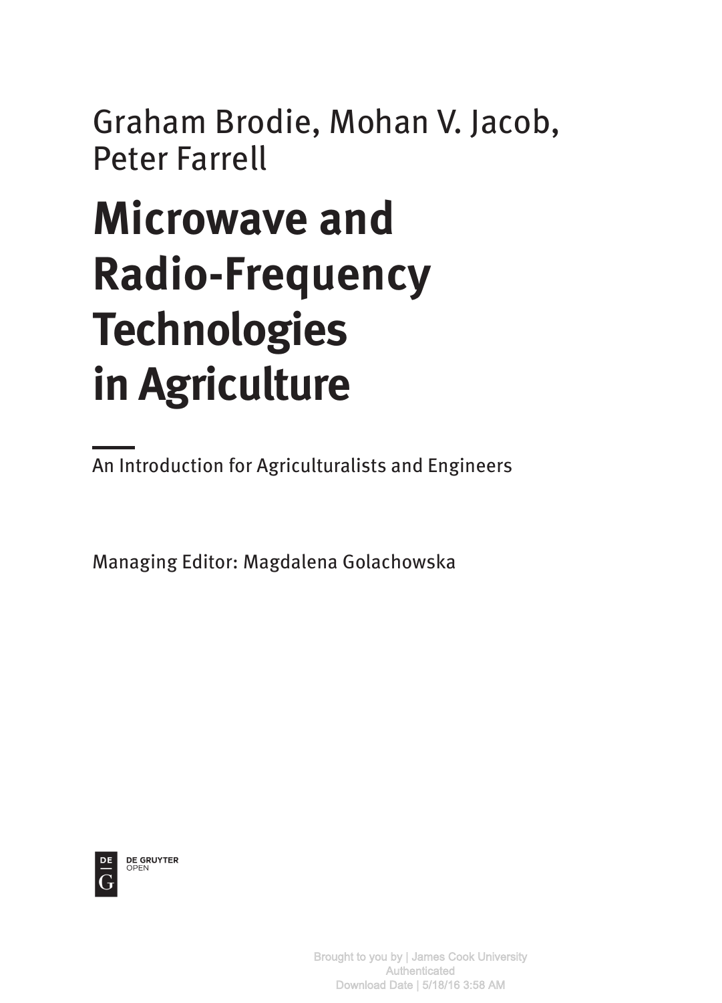Graham Brodie, Mohan V. Jacob, Peter Farrell

# **Microwave and Radio-Frequency Technologies in Agriculture**

An Introduction for Agriculturalists and Engineers

Managing Editor: Magdalena Golachowska

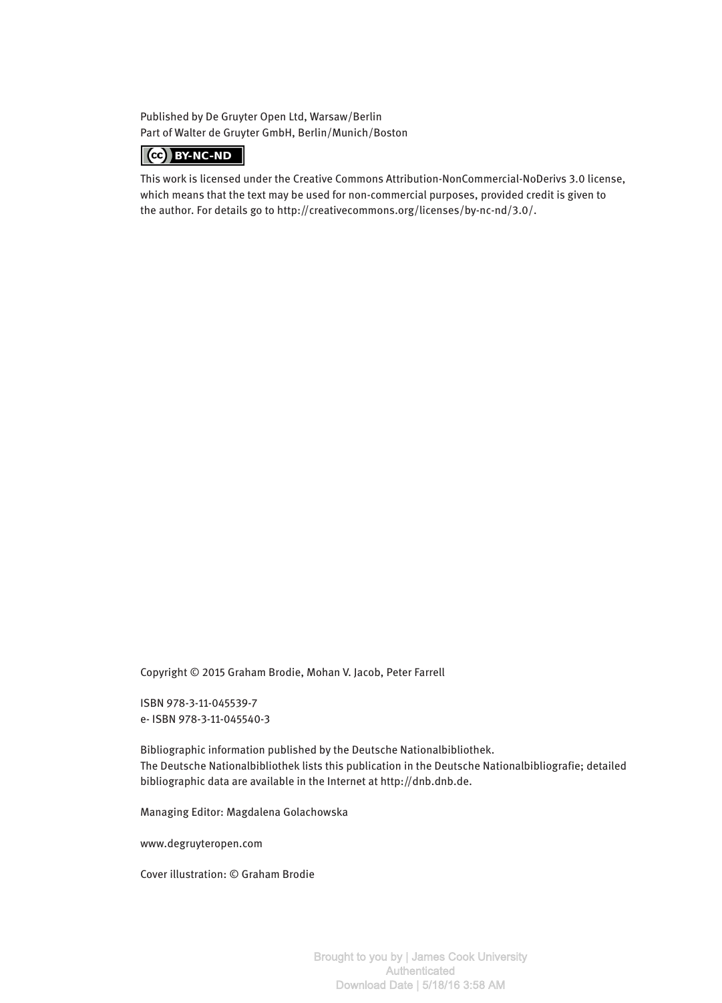Published by De Gruyter Open Ltd, Warsaw/Berlin Part of Walter de Gruyter GmbH, Berlin/Munich/Boston

## CC BY-NC-ND

This work is licensed under the Creative Commons Attribution-NonCommercial-NoDerivs 3.0 license, which means that the text may be used for non-commercial purposes, provided credit is given to the author. For details go to http://creativecommons.org/licenses/by-nc-nd/3.0/.

Copyright © 2015 Graham Brodie, Mohan V. Jacob, Peter Farrell

ISBN 978-3-11-045539-7 e- ISBN 978-3-11-045540-3

Bibliographic information published by the Deutsche Nationalbibliothek. The Deutsche Nationalbibliothek lists this publication in the Deutsche Nationalbibliografie; detailed bibliographic data are available in the Internet at http://dnb.dnb.de.

Managing Editor: Magdalena Golachowska

www.degruyteropen.com

Cover illustration: © Graham Brodie

Brought to you by | James Cook University Authenticated Download Date | 5/18/16 3:58 AM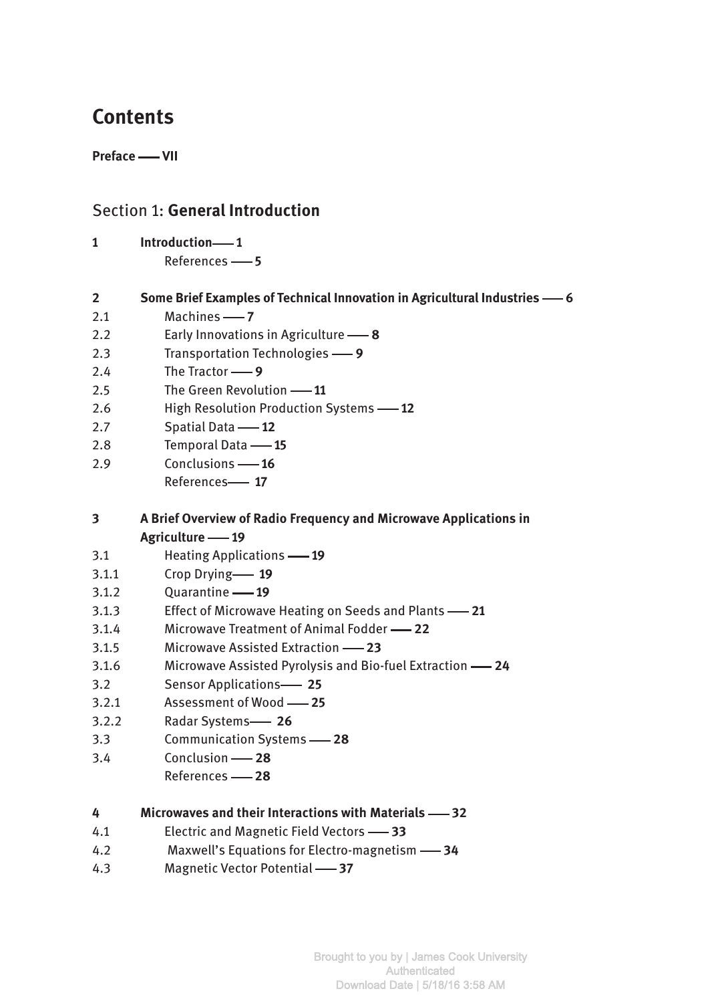# **Contents**

**Preface — VII** 

## Section 1: **General Introduction**

1 Introduction-1 References **-- 5** 

#### **2** Some Brief Examples of Technical Innovation in Agricultural Industries — 6

- 2.1 Machines -- 7
- 2.2 Early Innovations in Agriculture -8
- 2.3 Transportation Technologies -9
- 2.4 The Tractor **-9**
- 2.5 The Green Revolution -11
- 2.6 High Resolution Production Systems -12
- 2.7 Spatial Data **-12**
- 2.8 Temporal Data -- 15
- 2.9 Conclusions 16 References-17
	-

#### **3 A Brief Overview of Radio Frequency and Microwave Applications in**  Agriculture – 19

- 3.1 **Heating Applications 19**
- **3.1.1** Crop Drying 19
- 3.1.2 Quarantine **-19**
- 3.1.3 Effect of Microwave Heating on Seeds and Plants **-121**
- 3.1.4 Microwave Treatment of Animal Fodder -22
- 3.1.5 Microwave Assisted Extraction -23
- 3.1.6 Microwave Assisted Pyrolysis and Bio-fuel Extraction -24
- 3.2 Sensor Applications-25
- 3.2.1 Assessment of Wood -25
- **3.2.2** Radar Systems-26
- 3.3 **Communication Systems 28**
- 3.4 Conclusion **-28** 
	- References **28**

#### **4 Microwaves and their Interactions with Materials  32**

- 4.1 **Electric and Magnetic Field Vectors 33**
- 4.2 Maxwell's Equations for Electro-magnetism 34
- 4.3 Magnetic Vector Potential 37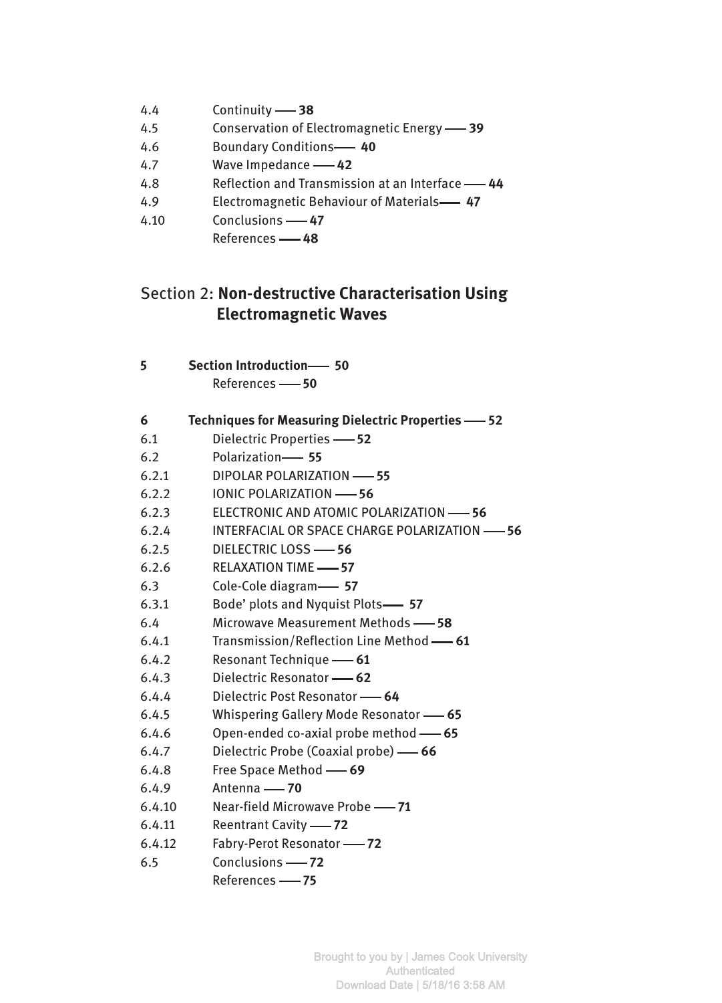| 4.4  | Continuity -- 38                                 |
|------|--------------------------------------------------|
| 4.5  | Conservation of Electromagnetic Energy -89       |
| 4.6  | <b>Boundary Conditions-40</b>                    |
| 4.7  | Wave Impedance -42                               |
| 4.8  | Reflection and Transmission at an Interface - 44 |
| 4.9  | Electromagnetic Behaviour of Materials-47        |
| 4.10 | Conclusions -47                                  |
|      | References - 48                                  |

## Section 2: **Non-destructive Characterisation Using Electromagnetic Waves**

| 5      | Section Introduction-60<br>References -80                 |
|--------|-----------------------------------------------------------|
| 6      | <b>Techniques for Measuring Dielectric Properties -62</b> |
| 6.1    | Dielectric Properties -82                                 |
| 6.2    | Polarization-55                                           |
| 6.2.1  | DIPOLAR POLARIZATION - 55                                 |
| 6.2.2  | <b>IONIC POLARIZATION -66</b>                             |
| 6.2.3  | ELECTRONIC AND ATOMIC POLARIZATION -56                    |
| 6.2.4  | INTERFACIAL OR SPACE CHARGE POLARIZATION - 56             |
| 6.2.5  | DIELECTRIC LOSS -86                                       |
| 6.2.6  | <b>RELAXATION TIME -- 57</b>                              |
| 6.3    | Cole-Cole diagram-57                                      |
| 6.3.1  | Bode' plots and Nyquist Plots-37                          |
| 6.4    | Microwave Measurement Methods -68                         |
| 6.4.1  | Transmission/Reflection Line Method -61                   |
| 6.4.2  | Resonant Technique -61                                    |
| 6.4.3  | Dielectric Resonator -62                                  |
| 6.4.4  | Dielectric Post Resonator -64                             |
| 6.4.5  | Whispering Gallery Mode Resonator -65                     |
| 6.4.6  | Open-ended co-axial probe method -65                      |
| 6.4.7  | Dielectric Probe (Coaxial probe) -66                      |
| 6.4.8  | Free Space Method -69                                     |
| 6.4.9  | Antenna - 70                                              |
| 6.4.10 | Near-field Microwave Probe -21                            |
| 6.4.11 | Reentrant Cavity -2                                       |
| 6.4.12 | Fabry-Perot Resonator -22                                 |
| 6.5    | Conclusions -22                                           |
|        | References - 75                                           |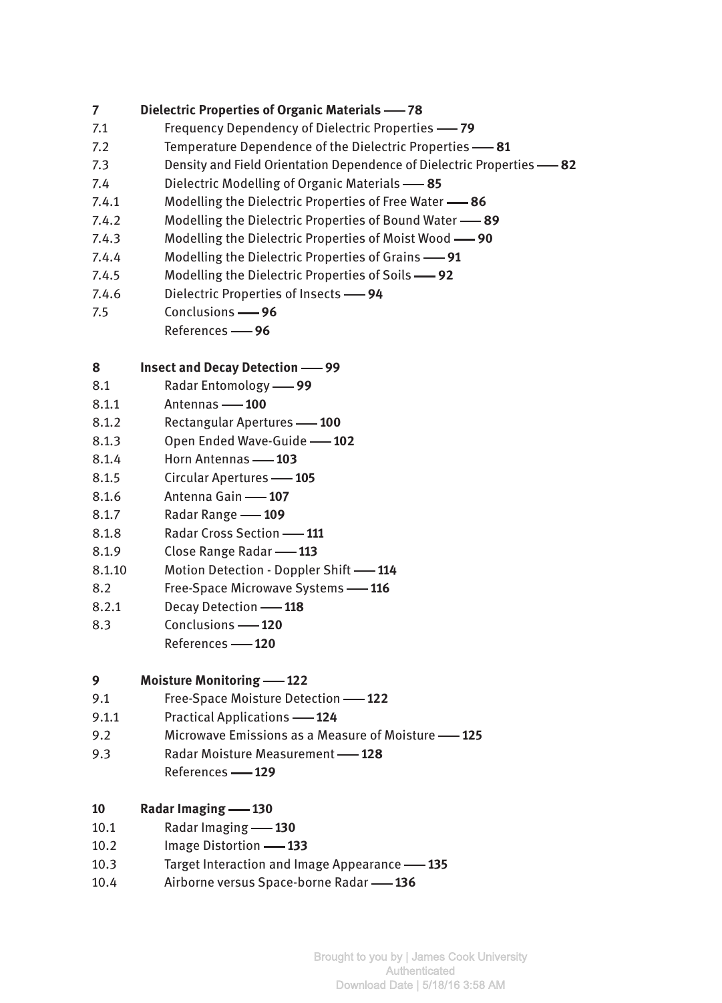#### **7** Dielectric Properties of Organic Materials –78

- 7.1 Frequency Dependency of Dielectric Properties **-79**
- 7.2 Temperature Dependence of the Dielectric Properties -81
- 7.3 Density and Field Orientation Dependence of Dielectric Properties **-82**
- 7.4 Dielectric Modelling of Organic Materials **-85**
- 7.4.1 Modelling the Dielectric Properties of Free Water -86
- 7.4.2 Modelling the Dielectric Properties of Bound Water **-89**
- 7.4.3 Modelling the Dielectric Properties of Moist Wood 90
- 7.4.4 Modelling the Dielectric Properties of Grains **-- 91**
- 7.4.5 Modelling the Dielectric Properties of Soils **-92**
- 7.4.6 Dielectric Properties of Insects **-94**
- 7.5 Conclusions **-- 96** 
	- References  **96**

#### **8** Insect and Decay Detection –– 99

- 8.1 Radar Entomology -- 99
- 8.1.1 Antennas **-100**
- 8.1.2 Rectangular Apertures -100
- 8.1.3 Open Ended Wave-Guide -- 102
- 8.1.4 Horn Antennas **-103**
- 8.1.5 Circular Apertures **-105**
- 8.1.6 Antenna Gain **-107**
- 8.1.7 Radar Range **-109**
- 8.1.8 Radar Cross Section -111
- 8.1.9 Close Range Radar -113
- 8.1.10 Motion Detection Doppler Shift -114
- 8.2 Free-Space Microwave Systems -116
- 8.2.1 Decay Detection -118
- 8.3 Conclusions **-120** References **-120**

#### **9** Moisture Monitoring — 122

- 9.1 Free-Space Moisture Detection -122
- 9.1.1 Practical Applications **-124**
- 9.2 Microwave Emissions as a Measure of Moisture **-125**
- 9.3 Radar Moisture Measurement -128 References **-129**

#### 10 **Radar Imaging** — 130

- 10.1 Radar Imaging **-130**
- 10.2 Image Distortion -- 133
- 10.3 Target Interaction and Image Appearance -135
- 10.4 Airborne versus Space-borne Radar -- 136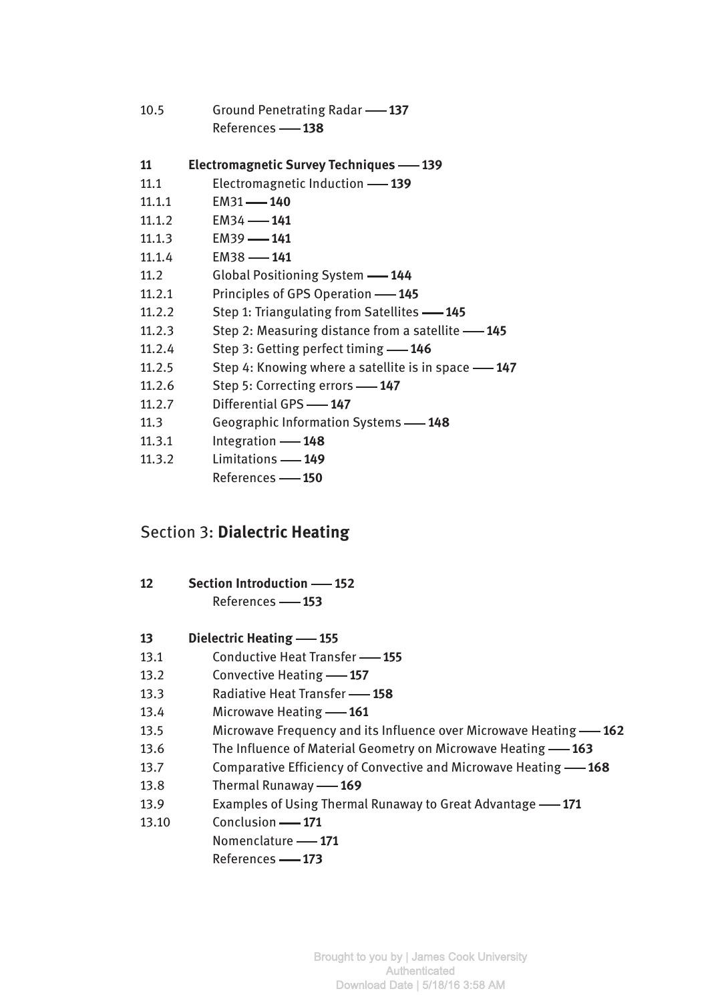| 10.5   | Ground Penetrating Radar -137<br>References - 138  |
|--------|----------------------------------------------------|
| 11     | <b>Electromagnetic Survey Techniques -139</b>      |
| 11.1   | Electromagnetic Induction -139                     |
| 11.1.1 | $EM31$ - 140                                       |
| 11.1.2 | $EM34 - 141$                                       |
| 11.1.3 | $EM39 - 141$                                       |
| 11.1.4 | $EM38 - 141$                                       |
| 11.2   | Global Positioning System -144                     |
| 11.2.1 | Principles of GPS Operation -145                   |
| 11.2.2 | Step 1: Triangulating from Satellites -145         |
| 11.2.3 | Step 2: Measuring distance from a satellite -145   |
| 11.2.4 | Step 3: Getting perfect timing -- 146              |
| 11.2.5 | Step 4: Knowing where a satellite is in space -147 |
| 11.2.6 | Step 5: Correcting errors -147                     |
| 11.2.7 | Differential GPS -147                              |
| 11.3   | Geographic Information Systems - 148               |
| 11.3.1 | Integration -148                                   |
| 11.3.2 | Limitations - 149                                  |
|        | References - 150                                   |

# Section 3: **Dialectric Heating**

| $12 \overline{ }$ | Section Introduction -152<br>References - 153                     |
|-------------------|-------------------------------------------------------------------|
| 13                | Dielectric Heating -155                                           |
| 13.1              | Conductive Heat Transfer - 155                                    |
| 13.2              | Convective Heating - 157                                          |
| 13.3              | Radiative Heat Transfer - 158                                     |
| 13.4              | Microwave Heating -161                                            |
| 13.5              | Microwave Frequency and its Influence over Microwave Heating -162 |
| 13.6              | The Influence of Material Geometry on Microwave Heating -163      |
| 13.7              | Comparative Efficiency of Convective and Microwave Heating — 168  |
| 13.8              | Thermal Runaway -169                                              |
| 13.9              | <b>Examples of Using Thermal Runaway to Great Advantage -171</b>  |
| 13.10             | Conclusion -171                                                   |
|                   | Nomenclature -171                                                 |

References **-173**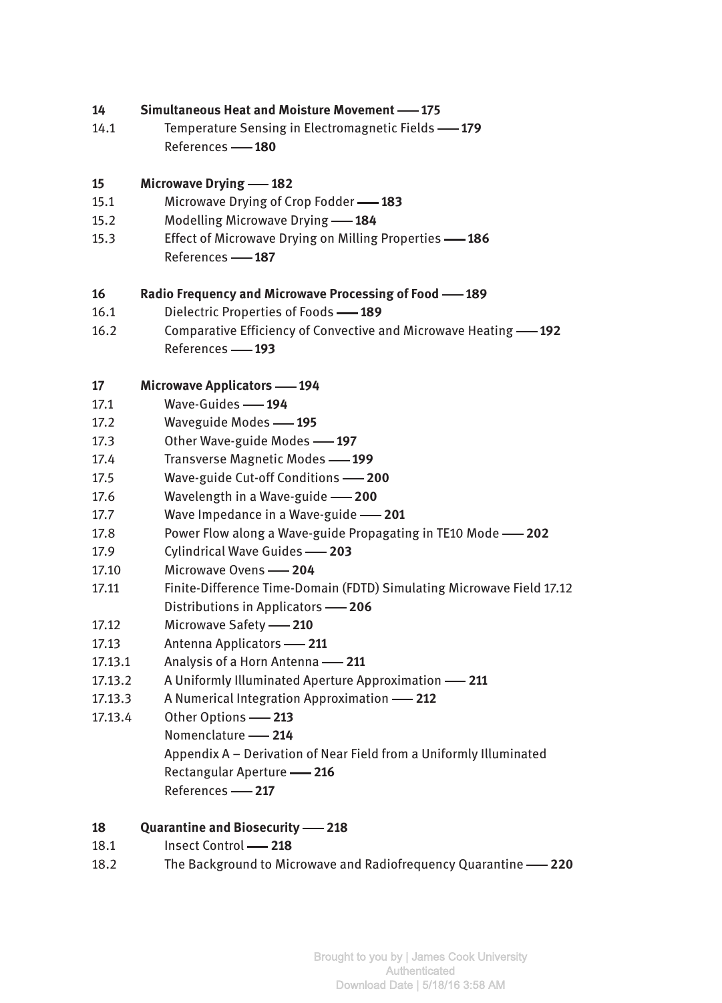#### 14 Simultaneous Heat and Moisture Movement -175

14.1 Temperature Sensing in Electromagnetic Fields -179 References **-180** 

#### 15 Microwave Drving -182

- 15.1 Microwave Drying of Crop Fodder -- 183
- 15.2 Modelling Microwave Drying -184
- 15.3 Effect of Microwave Drying on Milling Properties -186 References **-187**

#### 16 Radio Frequency and Microwave Processing of Food -189

- 16.1 **Dielectric Properties of Foods -189**
- 16.2 Comparative Efficiency of Convective and Microwave Heating **-192** References **-193**

#### 17 Microwave Applicators -194

- 17.1 Wave-Guides **-194**
- 17.2 Waveguide Modes -195
- 17.3 Other Wave-guide Modes -- 197
- 17.4 Transverse Magnetic Modes -- 199
- 17.5 Wave-guide Cut-off Conditions -200
- 17.6 Wavelength in a Wave-guide -200
- 17.7 Wave Impedance in a Wave-guide -- 201
- 17.8 Power Flow along a Wave-guide Propagating in TE10 Mode -202
- 17.9 Cylindrical Wave Guides -203
- 17.10 Microwave Ovens 204
- 17.11 Finite-Difference Time-Domain (FDTD) Simulating Microwave Field 17.12 Distributions in Applicators **206**
- 17.12 Microwave Safety -210
- 17.13 Antenna Applicators 211
- 17.13.1 Analysis of a Horn Antenna 211
- 17.13.2 A Uniformly Illuminated Aperture Approximation 211
- 17.13.3 A Numerical Integration Approximation 212
- 17.13.4 Other Options  **213** 
	- Nomenclature  **214** 
		- Appendix A Derivation of Near Field from a Uniformly Illuminated **Rectangular Aperture -216**

References **- 217** 

#### 18 Quarantine and Biosecurity — 218

- 18.1 Insect Control **-218**
- 18.2 The Background to Microwave and Radiofrequency Quarantine **-220**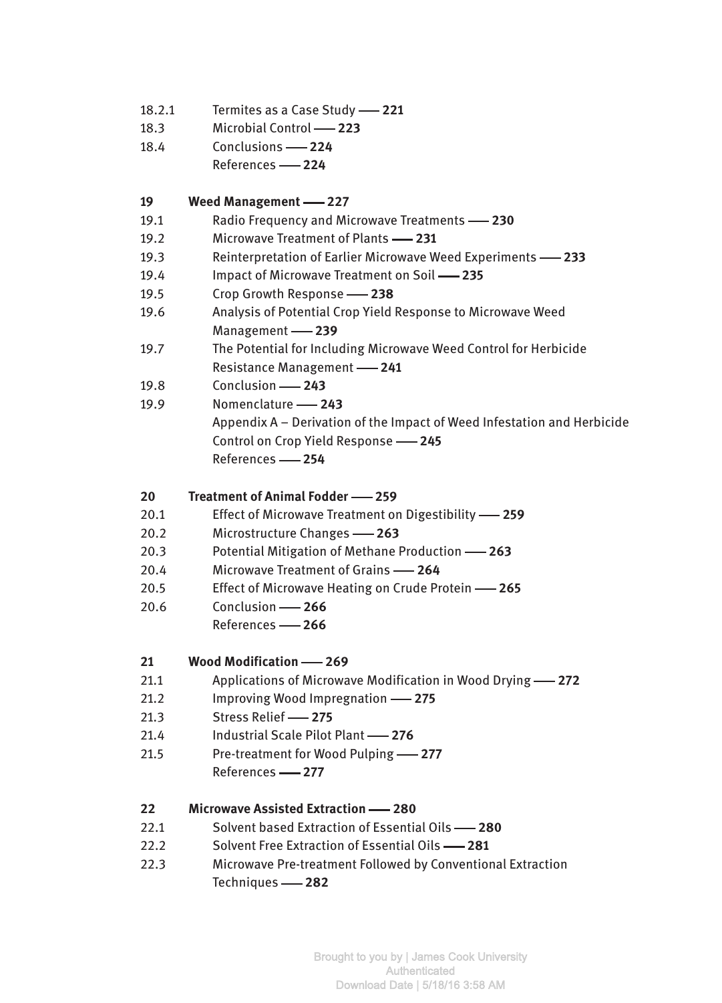- 18.2.1 Termites as a Case Study -221
- 18.3 Microbial Control -223
- 18.4 Conclusions **-224** 
	- References **224**

#### 19 Weed Management -227

- 19.1 Radio Frequency and Microwave Treatments -230
- 19.2 Microwave Treatment of Plants **-231**
- 19.3 Reinterpretation of Earlier Microwave Weed Experiments 233
- 19.4 Impact of Microwave Treatment on Soil -235
- 19.5 Crop Growth Response -- 238
- 19.6 Analysis of Potential Crop Yield Response to Microwave Weed Management **-1239**
- 19.7 The Potential for Including Microwave Weed Control for Herbicide Resistance Management -241
- 19.8 **Conclusion 243**
- 19.9 Nomenclature -243

Appendix A – Derivation of the Impact of Weed Infestation and Herbicide Control on Crop Yield Response **245** References **- 254** 

#### 20 Treatment of Animal Fodder -259

- 20.1 **Effect of Microwave Treatment on Digestibility 259**
- 20.2 Microstructure Changes -263
- 20.3 Potential Mitigation of Methane Production 263
- 20.4 Microwave Treatment of Grains **-264**
- 20.5 Effect of Microwave Heating on Crude Protein 265
- 20.6 Conclusion **-266** References **-266**

# 21 Wood Modification -269

- 21.1 Applications of Microwave Modification in Wood Drying -272
- 21.2 Improving Wood Impregnation 275
- 21.3 Stress Relief **-275**
- 21.4 Industrial Scale Pilot Plant **-276**
- 21.5 Pre-treatment for Wood Pulping -277 References **- 277**

#### **22** Microwave Assisted Extraction – 280

- 22.1 Solvent based Extraction of Essential Oils **-280**
- 22.2 Solvent Free Extraction of Essential Oils **-281**
- 22.3 Microwave Pre-treatment Followed by Conventional Extraction Techniques **-282**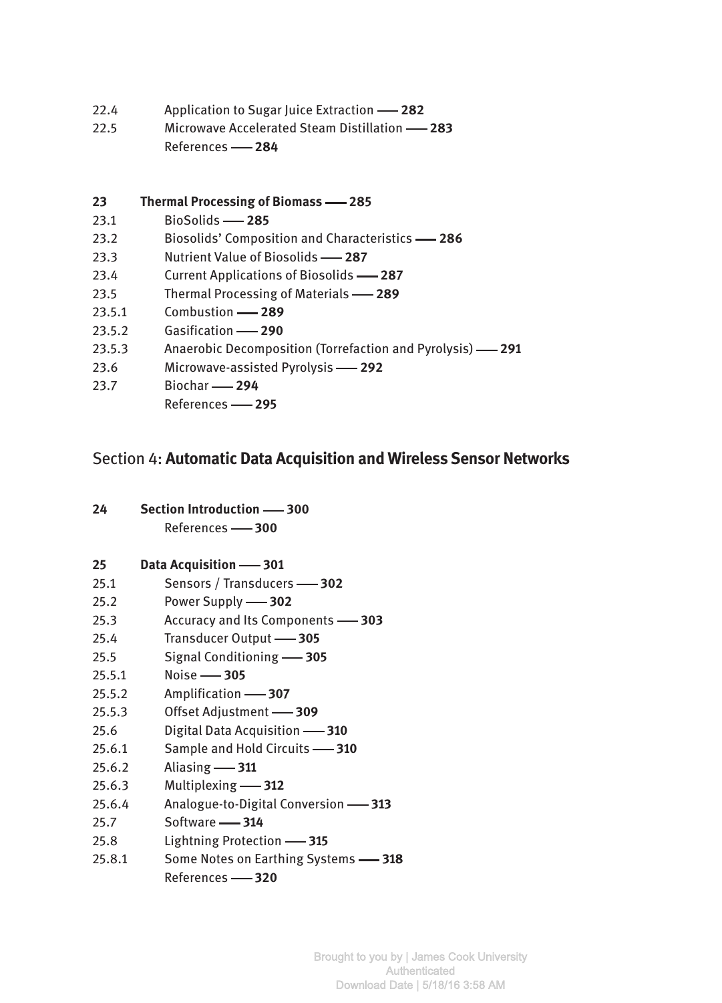| 22.4 | Application to Sugar Juice Extraction - 282    |
|------|------------------------------------------------|
| 22.5 | Microwave Accelerated Steam Distillation - 283 |
|      | References — 284                               |

| 23     | <b>Thermal Processing of Biomass - 285</b>                 |
|--------|------------------------------------------------------------|
| 23.1   | BioSolids -285                                             |
| 23.2   | <b>Biosolids' Composition and Characteristics -286</b>     |
| 23.3   | Nutrient Value of Biosolids -287                           |
| 23.4   | Current Applications of Biosolids - 287                    |
| 23.5   | Thermal Processing of Materials - 289                      |
| 23.5.1 | Combustion -289                                            |
| 23.5.2 | Gasification -290                                          |
| 23.5.3 | Anaerobic Decomposition (Torrefaction and Pyrolysis) — 291 |
| 23.6   | Microwave-assisted Pyrolysis -292                          |
| 23.7   | Biochar -294                                               |
|        | References - 295                                           |

### Section 4: **Automatic Data Acquisition and Wireless Sensor Networks**

| 24 | Section Introduction - 300 |
|----|----------------------------|
|    | References -800            |

| 25 |  |  | <b>Data Acquisition -</b> | — 301 |
|----|--|--|---------------------------|-------|
|----|--|--|---------------------------|-------|

- 25.1 Sensors / Transducers **-802**
- 25.2 Power Supply -- 302
- 25.3 Accuracy and Its Components 303
- 25.4 Transducer Output **-805**
- 25.5 Signal Conditioning 305
- 25.5.1 Noise **-805**
- 25.5.2 Amplification **-807**
- 25.5.3 Offset Adjustment 309
- 25.6 Digital Data Acquisition 310
- 25.6.1 Sample and Hold Circuits **-810**
- 25.6.2 Aliasing **-811**
- 25.6.3 Multiplexing **-812**
- 25.6.4 Analogue-to-Digital Conversion **-813**
- 25.7 **Software -- 314**
- 25.8 Lightning Protection 315
- 25.8.1 Some Notes on Earthing Systems 318
	- References **-820**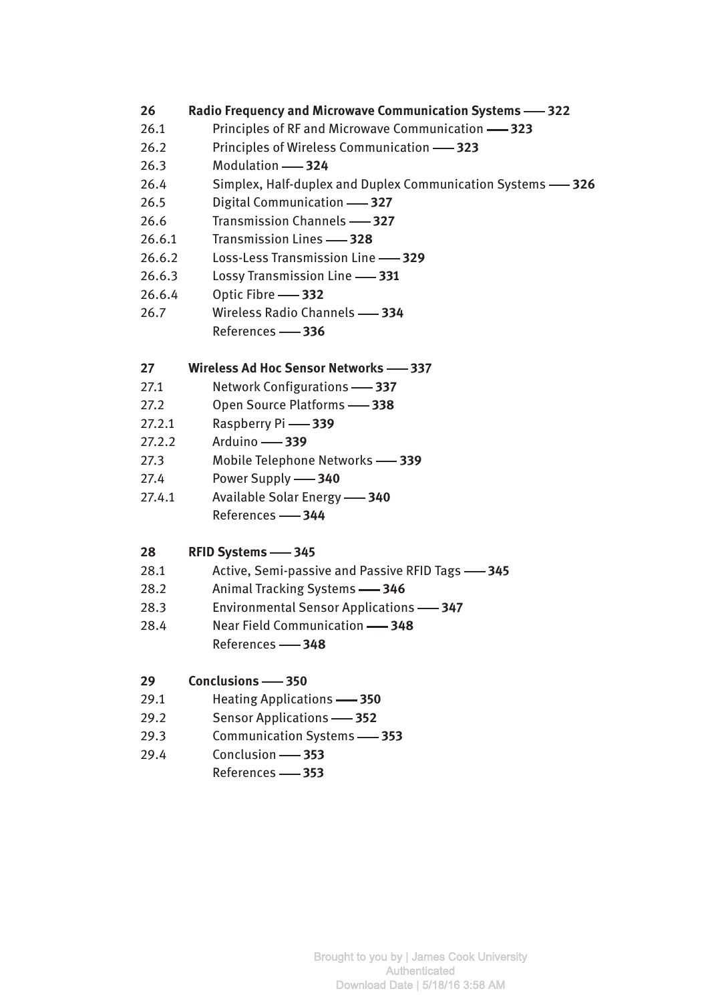#### **26 Radio Frequency and Microwave Communication Systems  322**

- 26.1 Principles of RF and Microwave Communication 323
- 26.2 Principles of Wireless Communication 323
- 26.3 Modulation  **324**
- 26.4 Simplex, Half-duplex and Duplex Communication Systems **-826**
- 26.5 Digital Communication **-827**
- 26.6 Transmission Channels 327
- 26.6.1 Transmission Lines **-828**
- 26.6.2 Loss-Less Transmission Line 329
- 26.6.3 Lossy Transmission Line -- 331
- 26.6.4 Optic Fibre **-832**
- 26.7 Wireless Radio Channels 334 References **-836**

#### 27 Wireless Ad Hoc Sensor Networks -- 337

- 27.1 Network Configurations 337
- 27.2 Open Source Platforms 338
- 27.2.1 Raspberry Pi **-839**
- 27.2.2 Arduino **-839**
- 27.3 Mobile Telephone Networks 339
- 27.4 Power Supply **-840**
- 27.4.1 Available Solar Energy -- 340 References **- 344**

#### 28 RFID Systems - 345

- 28.1 Active, Semi-passive and Passive RFID Tags **-845**
- 28.2 Animal Tracking Systems 346
- 28.3 Environmental Sensor Applications 347
- 28.4 Near Field Communication 348 References **-848**

#### 29 **Conclusions** — 350

- 29.1 Heating Applications **-1350**
- 29.2 Sensor Applications **-852**
- 29.3 Communication Systems 353
- 29.4 Conclusion  **353** 
	- References  **353**